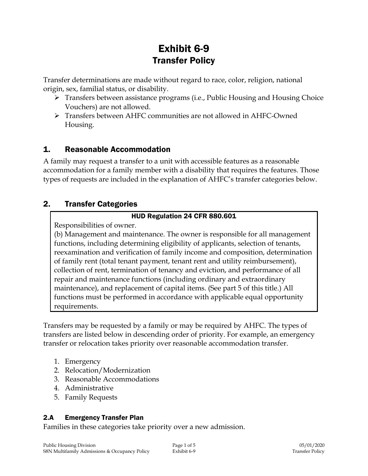# Exhibit 6-9 Transfer Policy

Transfer determinations are made without regard to race, color, religion, national origin, sex, familial status, or disability.

- $\triangleright$  Transfers between assistance programs (i.e., Public Housing and Housing Choice Vouchers) are not allowed.
- Transfers between AHFC communities are not allowed in AHFC-Owned Housing.

# 1. Reasonable Accommodation

A family may request a transfer to a unit with accessible features as a reasonable accommodation for a family member with a disability that requires the features. Those types of requests are included in the explanation of AHFC's transfer categories below.

# 2. Transfer Categories

#### HUD Regulation 24 CFR 880.601

Responsibilities of owner.

(b) Management and maintenance. The owner is responsible for all management functions, including determining eligibility of applicants, selection of tenants, reexamination and verification of family income and composition, determination of family rent (total tenant payment, tenant rent and utility reimbursement), collection of rent, termination of tenancy and eviction, and performance of all repair and maintenance functions (including ordinary and extraordinary maintenance), and replacement of capital items. (See part 5 of this title.) All functions must be performed in accordance with applicable equal opportunity requirements.

Transfers may be requested by a family or may be required by AHFC. The types of transfers are listed below in descending order of priority. For example, an emergency transfer or relocation takes priority over reasonable accommodation transfer.

- 1. Emergency
- 2. Relocation/Modernization
- 3. Reasonable Accommodations
- 4. Administrative
- 5. Family Requests

## 2.A Emergency Transfer Plan

Families in these categories take priority over a new admission.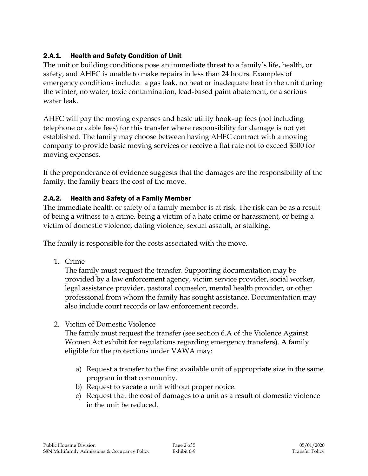## 2.A.1. Health and Safety Condition of Unit

The unit or building conditions pose an immediate threat to a family's life, health, or safety, and AHFC is unable to make repairs in less than 24 hours. Examples of emergency conditions include: a gas leak, no heat or inadequate heat in the unit during the winter, no water, toxic contamination, lead-based paint abatement, or a serious water leak.

AHFC will pay the moving expenses and basic utility hook-up fees (not including telephone or cable fees) for this transfer where responsibility for damage is not yet established. The family may choose between having AHFC contract with a moving company to provide basic moving services or receive a flat rate not to exceed \$500 for moving expenses.

If the preponderance of evidence suggests that the damages are the responsibility of the family, the family bears the cost of the move.

#### 2.A.2. Health and Safety of a Family Member

The immediate health or safety of a family member is at risk. The risk can be as a result of being a witness to a crime, being a victim of a hate crime or harassment, or being a victim of domestic violence, dating violence, sexual assault, or stalking.

The family is responsible for the costs associated with the move.

1. Crime

The family must request the transfer. Supporting documentation may be provided by a law enforcement agency, victim service provider, social worker, legal assistance provider, pastoral counselor, mental health provider, or other professional from whom the family has sought assistance. Documentation may also include court records or law enforcement records.

2. Victim of Domestic Violence

The family must request the transfer (see section 6.A of the Violence Against Women Act exhibit for regulations regarding emergency transfers). A family eligible for the protections under VAWA may:

- a) Request a transfer to the first available unit of appropriate size in the same program in that community.
- b) Request to vacate a unit without proper notice.
- c) Request that the cost of damages to a unit as a result of domestic violence in the unit be reduced.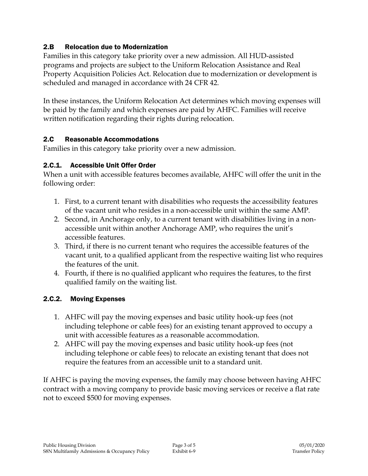#### 2.B Relocation due to Modernization

Families in this category take priority over a new admission. All HUD-assisted programs and projects are subject to the Uniform Relocation Assistance and Real Property Acquisition Policies Act. Relocation due to modernization or development is scheduled and managed in accordance with 24 CFR 42.

In these instances, the Uniform Relocation Act determines which moving expenses will be paid by the family and which expenses are paid by AHFC. Families will receive written notification regarding their rights during relocation.

#### 2.C Reasonable Accommodations

Families in this category take priority over a new admission.

## 2.C.1. Accessible Unit Offer Order

When a unit with accessible features becomes available, AHFC will offer the unit in the following order:

- 1. First, to a current tenant with disabilities who requests the accessibility features of the vacant unit who resides in a non-accessible unit within the same AMP.
- 2. Second, in Anchorage only, to a current tenant with disabilities living in a nonaccessible unit within another Anchorage AMP, who requires the unit's accessible features.
- 3. Third, if there is no current tenant who requires the accessible features of the vacant unit, to a qualified applicant from the respective waiting list who requires the features of the unit.
- 4. Fourth, if there is no qualified applicant who requires the features, to the first qualified family on the waiting list.

## 2.C.2. Moving Expenses

- 1. AHFC will pay the moving expenses and basic utility hook-up fees (not including telephone or cable fees) for an existing tenant approved to occupy a unit with accessible features as a reasonable accommodation.
- 2. AHFC will pay the moving expenses and basic utility hook-up fees (not including telephone or cable fees) to relocate an existing tenant that does not require the features from an accessible unit to a standard unit.

If AHFC is paying the moving expenses, the family may choose between having AHFC contract with a moving company to provide basic moving services or receive a flat rate not to exceed \$500 for moving expenses.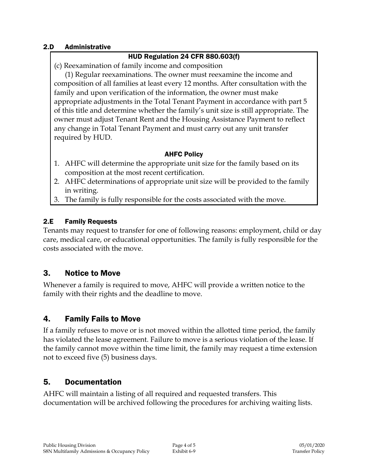#### 2.D Administrative

#### HUD Regulation 24 CFR 880.603(f)

(c) Reexamination of family income and composition

(1) Regular reexaminations. The owner must reexamine the income and composition of all families at least every 12 months. After consultation with the family and upon verification of the information, the owner must make appropriate adjustments in the Total Tenant Payment in accordance with part 5 of this title and determine whether the family's unit size is still appropriate. The owner must adjust Tenant Rent and the Housing Assistance Payment to reflect any change in Total Tenant Payment and must carry out any unit transfer required by HUD.

#### AHFC Policy

- 1. AHFC will determine the appropriate unit size for the family based on its composition at the most recent certification.
- 2. AHFC determinations of appropriate unit size will be provided to the family in writing.
- 3. The family is fully responsible for the costs associated with the move.

#### 2.E Family Requests

Tenants may request to transfer for one of following reasons: employment, child or day care, medical care, or educational opportunities. The family is fully responsible for the costs associated with the move.

# 3. Notice to Move

Whenever a family is required to move, AHFC will provide a written notice to the family with their rights and the deadline to move.

# 4. Family Fails to Move

If a family refuses to move or is not moved within the allotted time period, the family has violated the lease agreement. Failure to move is a serious violation of the lease. If the family cannot move within the time limit, the family may request a time extension not to exceed five (5) business days.

# 5. Documentation

AHFC will maintain a listing of all required and requested transfers. This documentation will be archived following the procedures for archiving waiting lists.